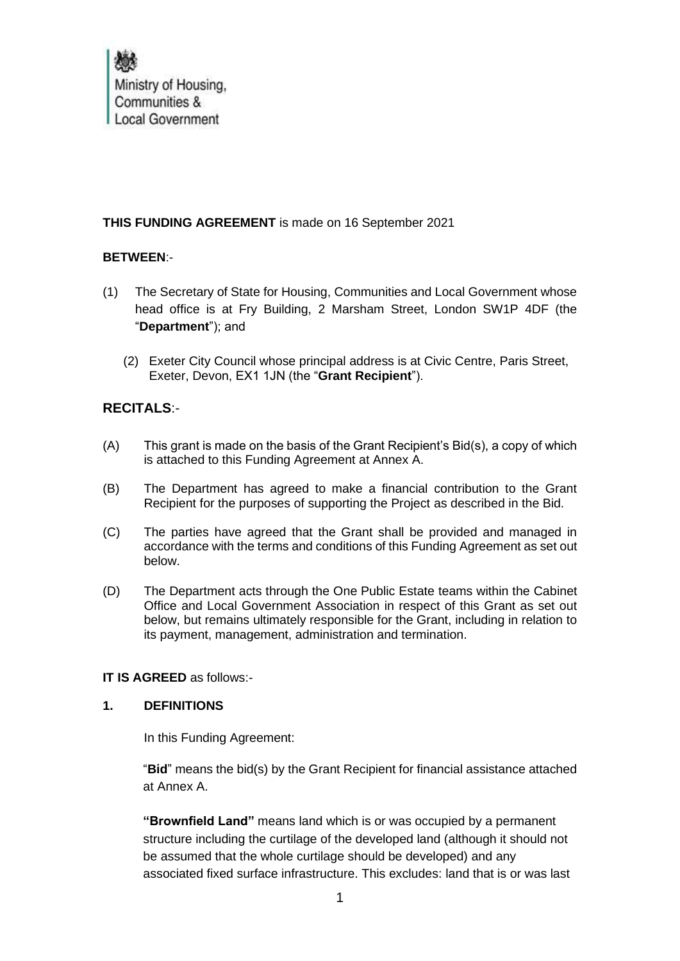Ministry of Housing, Communities & **Local Government** 

# **THIS FUNDING AGREEMENT** is made on 16 September 2021

# **BETWEEN**:-

- (1) The Secretary of State for Housing, Communities and Local Government whose head office is at Fry Building, 2 Marsham Street, London SW1P 4DF (the "**Department**"); and
	- (2) Exeter City Council whose principal address is at Civic Centre, Paris Street, Exeter, Devon, EX1 1JN (the "**Grant Recipient**").

# **RECITALS**:-

- (A) This grant is made on the basis of the Grant Recipient's Bid(s), a copy of which is attached to this Funding Agreement at Annex A.
- (B) The Department has agreed to make a financial contribution to the Grant Recipient for the purposes of supporting the Project as described in the Bid.
- (C) The parties have agreed that the Grant shall be provided and managed in accordance with the terms and conditions of this Funding Agreement as set out below.
- (D) The Department acts through the One Public Estate teams within the Cabinet Office and Local Government Association in respect of this Grant as set out below, but remains ultimately responsible for the Grant, including in relation to its payment, management, administration and termination.

#### **IT IS AGREED** as follows:-

# **1. DEFINITIONS**

In this Funding Agreement:

"**Bid**" means the bid(s) by the Grant Recipient for financial assistance attached at Annex A.

**"Brownfield Land"** means land which is or was occupied by a permanent structure including the curtilage of the developed land (although it should not be assumed that the whole curtilage should be developed) and any associated fixed surface infrastructure. This excludes: land that is or was last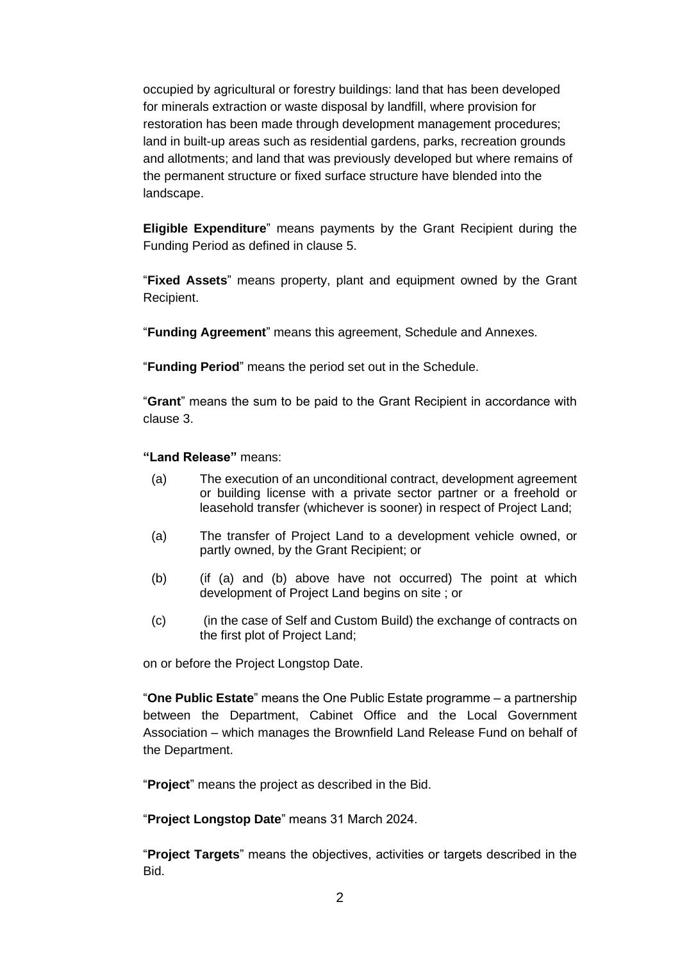occupied by agricultural or forestry buildings: land that has been developed for minerals extraction or waste disposal by landfill, where provision for restoration has been made through development management procedures; land in built-up areas such as residential gardens, parks, recreation grounds and allotments; and land that was previously developed but where remains of the permanent structure or fixed surface structure have blended into the landscape.

**Eligible Expenditure**" means payments by the Grant Recipient during the Funding Period as defined in clause 5.

"**Fixed Assets**" means property, plant and equipment owned by the Grant Recipient.

"**Funding Agreement**" means this agreement, Schedule and Annexes.

"**Funding Period**" means the period set out in the Schedule.

"**Grant**" means the sum to be paid to the Grant Recipient in accordance with clause 3.

**"Land Release"** means:

- (a) The execution of an unconditional contract, development agreement or building license with a private sector partner or a freehold or leasehold transfer (whichever is sooner) in respect of Project Land;
- (a) The transfer of Project Land to a development vehicle owned, or partly owned, by the Grant Recipient; or
- (b) (if (a) and (b) above have not occurred) The point at which development of Project Land begins on site ; or
- (c) (in the case of Self and Custom Build) the exchange of contracts on the first plot of Project Land;

on or before the Project Longstop Date.

"**One Public Estate**" means the One Public Estate programme – a partnership between the Department, Cabinet Office and the Local Government Association – which manages the Brownfield Land Release Fund on behalf of the Department.

"**Project**" means the project as described in the Bid.

"**Project Longstop Date**" means 31 March 2024.

"**Project Targets**" means the objectives, activities or targets described in the Bid.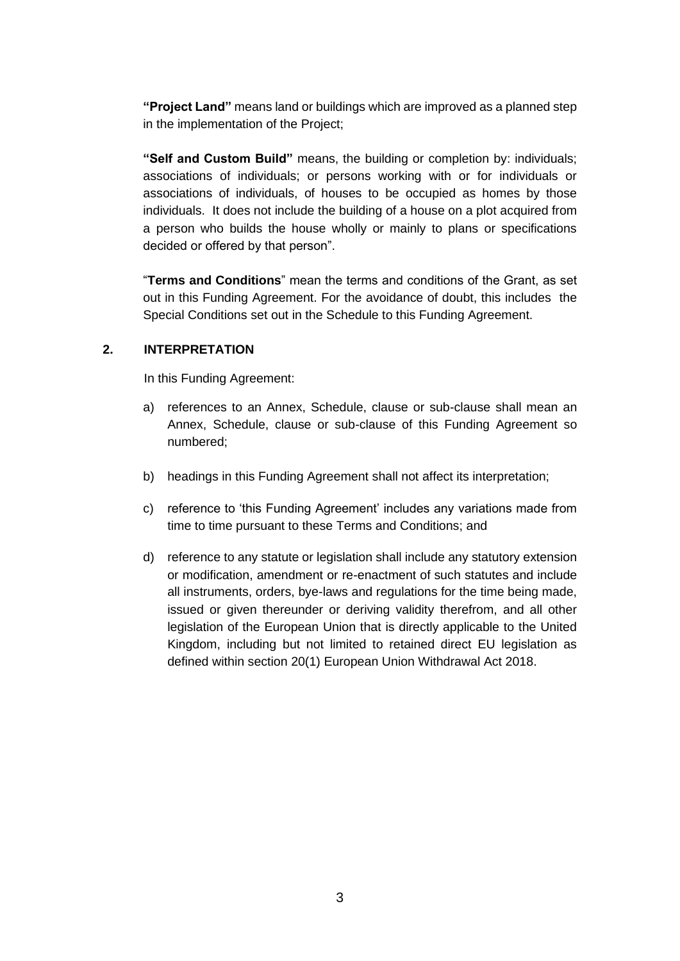**"Project Land"** means land or buildings which are improved as a planned step in the implementation of the Project;

**"Self and Custom Build"** means, the building or completion by: individuals; associations of individuals; or persons working with or for individuals or associations of individuals, of houses to be occupied as homes by those individuals. It does not include the building of a house on a plot acquired from a person who builds the house wholly or mainly to plans or specifications decided or offered by that person".

"**Terms and Conditions**" mean the terms and conditions of the Grant, as set out in this Funding Agreement. For the avoidance of doubt, this includes the Special Conditions set out in the Schedule to this Funding Agreement.

# **2. INTERPRETATION**

In this Funding Agreement:

- a) references to an Annex, Schedule, clause or sub-clause shall mean an Annex, Schedule, clause or sub-clause of this Funding Agreement so numbered;
- b) headings in this Funding Agreement shall not affect its interpretation;
- c) reference to 'this Funding Agreement' includes any variations made from time to time pursuant to these Terms and Conditions; and
- d) reference to any statute or legislation shall include any statutory extension or modification, amendment or re-enactment of such statutes and include all instruments, orders, bye-laws and regulations for the time being made, issued or given thereunder or deriving validity therefrom, and all other legislation of the European Union that is directly applicable to the United Kingdom, including but not limited to retained direct EU legislation as defined within section 20(1) European Union Withdrawal Act 2018.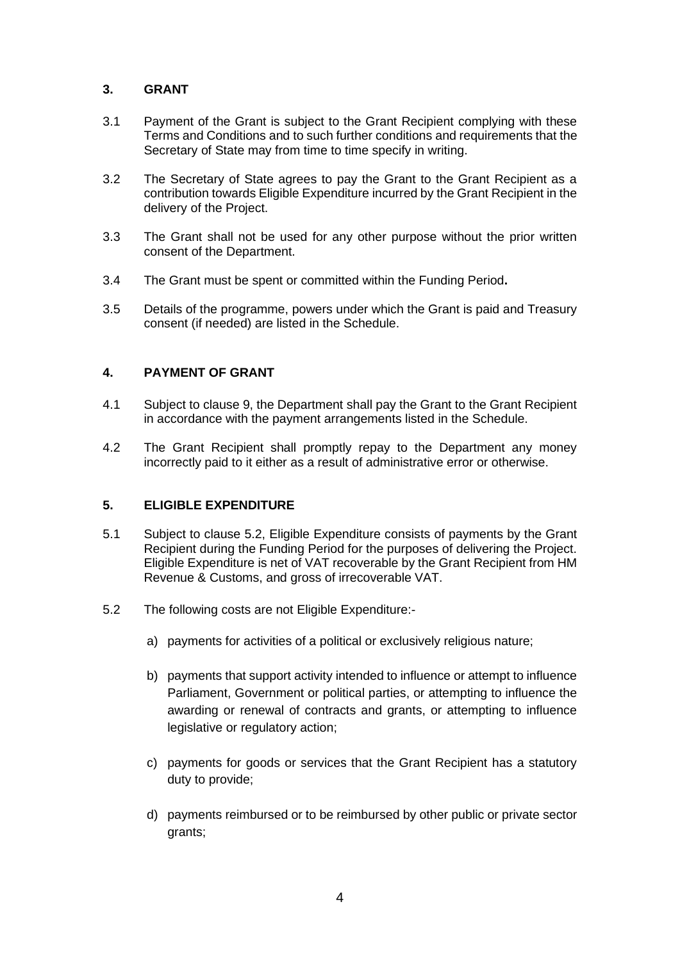# **3. GRANT**

- 3.1 Payment of the Grant is subject to the Grant Recipient complying with these Terms and Conditions and to such further conditions and requirements that the Secretary of State may from time to time specify in writing.
- 3.2 The Secretary of State agrees to pay the Grant to the Grant Recipient as a contribution towards Eligible Expenditure incurred by the Grant Recipient in the delivery of the Project.
- 3.3 The Grant shall not be used for any other purpose without the prior written consent of the Department.
- 3.4 The Grant must be spent or committed within the Funding Period**.**
- 3.5 Details of the programme, powers under which the Grant is paid and Treasury consent (if needed) are listed in the Schedule.

# **4. PAYMENT OF GRANT**

- 4.1 Subject to clause 9, the Department shall pay the Grant to the Grant Recipient in accordance with the payment arrangements listed in the Schedule.
- 4.2 The Grant Recipient shall promptly repay to the Department any money incorrectly paid to it either as a result of administrative error or otherwise.

#### **5. ELIGIBLE EXPENDITURE**

- 5.1 Subject to clause 5.2, Eligible Expenditure consists of payments by the Grant Recipient during the Funding Period for the purposes of delivering the Project. Eligible Expenditure is net of VAT recoverable by the Grant Recipient from HM Revenue & Customs, and gross of irrecoverable VAT.
- 5.2 The following costs are not Eligible Expenditure:
	- a) payments for activities of a political or exclusively religious nature;
	- b) payments that support activity intended to influence or attempt to influence Parliament, Government or political parties, or attempting to influence the awarding or renewal of contracts and grants, or attempting to influence legislative or regulatory action;
	- c) payments for goods or services that the Grant Recipient has a statutory duty to provide;
	- d) payments reimbursed or to be reimbursed by other public or private sector grants;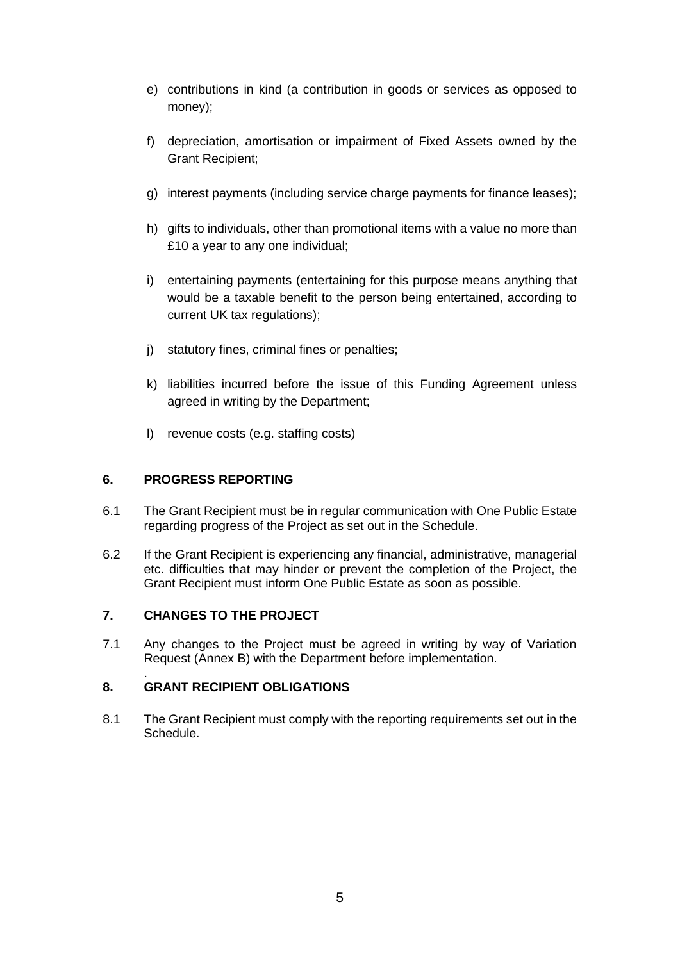- e) contributions in kind (a contribution in goods or services as opposed to money);
- f) depreciation, amortisation or impairment of Fixed Assets owned by the Grant Recipient;
- g) interest payments (including service charge payments for finance leases);
- h) gifts to individuals, other than promotional items with a value no more than £10 a year to any one individual;
- i) entertaining payments (entertaining for this purpose means anything that would be a taxable benefit to the person being entertained, according to current UK tax regulations);
- j) statutory fines, criminal fines or penalties;
- k) liabilities incurred before the issue of this Funding Agreement unless agreed in writing by the Department;
- l) revenue costs (e.g. staffing costs)

# **6. PROGRESS REPORTING**

- 6.1 The Grant Recipient must be in regular communication with One Public Estate regarding progress of the Project as set out in the Schedule.
- 6.2 If the Grant Recipient is experiencing any financial, administrative, managerial etc. difficulties that may hinder or prevent the completion of the Project, the Grant Recipient must inform One Public Estate as soon as possible.

#### **7. CHANGES TO THE PROJECT**

7.1 Any changes to the Project must be agreed in writing by way of Variation Request (Annex B) with the Department before implementation.

#### . **8. GRANT RECIPIENT OBLIGATIONS**

8.1 The Grant Recipient must comply with the reporting requirements set out in the Schedule.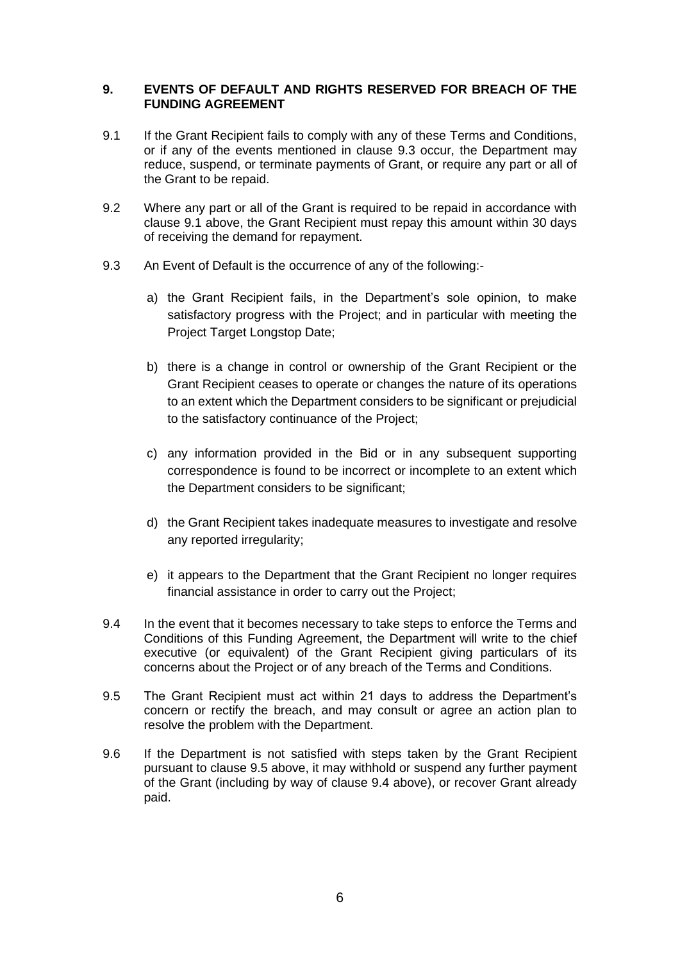#### **9. EVENTS OF DEFAULT AND RIGHTS RESERVED FOR BREACH OF THE FUNDING AGREEMENT**

- 9.1 If the Grant Recipient fails to comply with any of these Terms and Conditions, or if any of the events mentioned in clause 9.3 occur, the Department may reduce, suspend, or terminate payments of Grant, or require any part or all of the Grant to be repaid.
- 9.2 Where any part or all of the Grant is required to be repaid in accordance with clause 9.1 above, the Grant Recipient must repay this amount within 30 days of receiving the demand for repayment.
- 9.3 An Event of Default is the occurrence of any of the following:
	- a) the Grant Recipient fails, in the Department's sole opinion, to make satisfactory progress with the Project; and in particular with meeting the Project Target Longstop Date;
	- b) there is a change in control or ownership of the Grant Recipient or the Grant Recipient ceases to operate or changes the nature of its operations to an extent which the Department considers to be significant or prejudicial to the satisfactory continuance of the Project;
	- c) any information provided in the Bid or in any subsequent supporting correspondence is found to be incorrect or incomplete to an extent which the Department considers to be significant;
	- d) the Grant Recipient takes inadequate measures to investigate and resolve any reported irregularity;
	- e) it appears to the Department that the Grant Recipient no longer requires financial assistance in order to carry out the Project;
- 9.4 In the event that it becomes necessary to take steps to enforce the Terms and Conditions of this Funding Agreement, the Department will write to the chief executive (or equivalent) of the Grant Recipient giving particulars of its concerns about the Project or of any breach of the Terms and Conditions.
- 9.5 The Grant Recipient must act within 21 days to address the Department's concern or rectify the breach, and may consult or agree an action plan to resolve the problem with the Department.
- 9.6 If the Department is not satisfied with steps taken by the Grant Recipient pursuant to clause 9.5 above, it may withhold or suspend any further payment of the Grant (including by way of clause 9.4 above), or recover Grant already paid.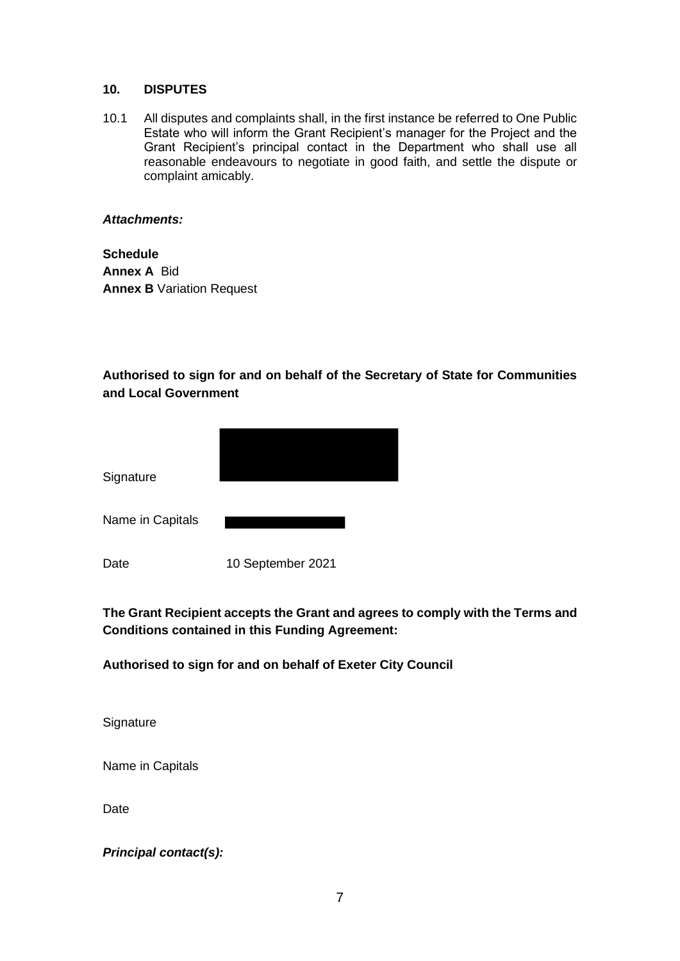#### **10. DISPUTES**

10.1 All disputes and complaints shall, in the first instance be referred to One Public Estate who will inform the Grant Recipient's manager for the Project and the Grant Recipient's principal contact in the Department who shall use all reasonable endeavours to negotiate in good faith, and settle the dispute or complaint amicably.

#### *Attachments:*

**Schedule Annex A** Bid **Annex B** Variation Request

# **Authorised to sign for and on behalf of the Secretary of State for Communities and Local Government**

| Signature        |                   |
|------------------|-------------------|
| Name in Capitals |                   |
| Date             | 10 September 2021 |

# **The Grant Recipient accepts the Grant and agrees to comply with the Terms and Conditions contained in this Funding Agreement:**

# **Authorised to sign for and on behalf of Exeter City Council**

**Signature** 

Name in Capitals

Date

*Principal contact(s):*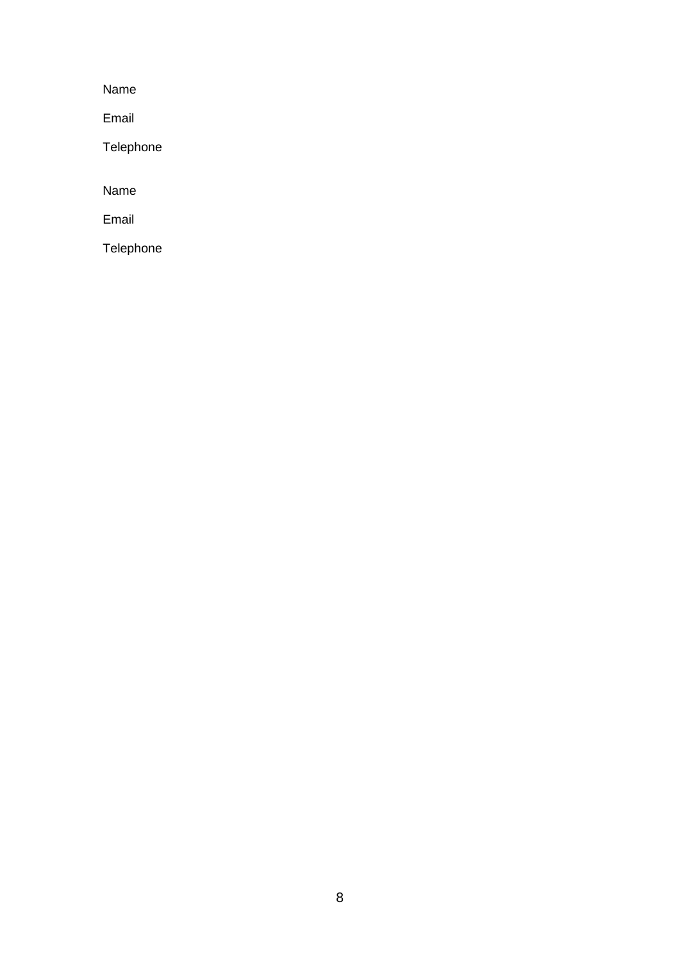Name

Email

Telephone

Name

Email

Telephone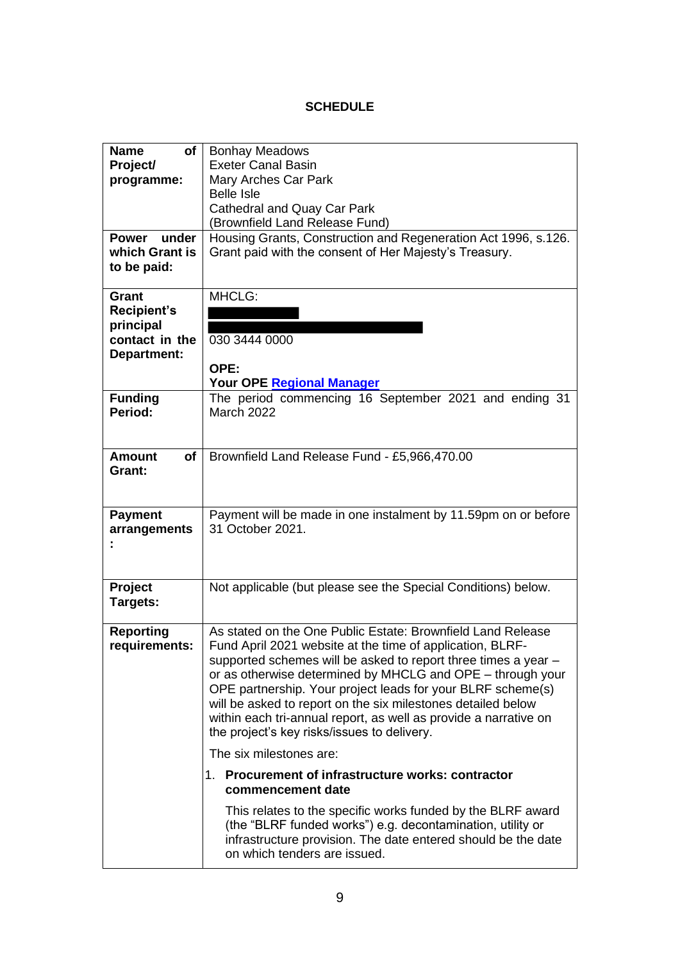# **SCHEDULE**

| <b>Name</b><br><b>of</b><br>Project/<br>programme:                        | <b>Bonhay Meadows</b><br><b>Exeter Canal Basin</b><br>Mary Arches Car Park                                                                                                                                                                                                                                                                                                                                                                                                                                 |
|---------------------------------------------------------------------------|------------------------------------------------------------------------------------------------------------------------------------------------------------------------------------------------------------------------------------------------------------------------------------------------------------------------------------------------------------------------------------------------------------------------------------------------------------------------------------------------------------|
|                                                                           | <b>Belle Isle</b><br><b>Cathedral and Quay Car Park</b><br>(Brownfield Land Release Fund)                                                                                                                                                                                                                                                                                                                                                                                                                  |
| under<br><b>Power</b><br>which Grant is<br>to be paid:                    | Housing Grants, Construction and Regeneration Act 1996, s.126.<br>Grant paid with the consent of Her Majesty's Treasury.                                                                                                                                                                                                                                                                                                                                                                                   |
| Grant<br><b>Recipient's</b><br>principal<br>contact in the<br>Department: | MHCLG:<br>030 3444 0000<br>OPE:                                                                                                                                                                                                                                                                                                                                                                                                                                                                            |
|                                                                           | <b>Your OPE Regional Manager</b>                                                                                                                                                                                                                                                                                                                                                                                                                                                                           |
| <b>Funding</b><br>Period:                                                 | The period commencing 16 September 2021 and ending 31<br><b>March 2022</b>                                                                                                                                                                                                                                                                                                                                                                                                                                 |
| <b>Amount</b><br><b>of</b><br>Grant:                                      | Brownfield Land Release Fund - £5,966,470.00                                                                                                                                                                                                                                                                                                                                                                                                                                                               |
| <b>Payment</b><br>arrangements                                            | Payment will be made in one instalment by 11.59pm on or before<br>31 October 2021.                                                                                                                                                                                                                                                                                                                                                                                                                         |
| Project<br>Targets:                                                       | Not applicable (but please see the Special Conditions) below.                                                                                                                                                                                                                                                                                                                                                                                                                                              |
| <b>Reporting</b><br>requirements:                                         | As stated on the One Public Estate: Brownfield Land Release<br>Fund April 2021 website at the time of application, BLRF-<br>supported schemes will be asked to report three times a year -<br>or as otherwise determined by MHCLG and OPE – through your<br>OPE partnership. Your project leads for your BLRF scheme(s)<br>will be asked to report on the six milestones detailed below<br>within each tri-annual report, as well as provide a narrative on<br>the project's key risks/issues to delivery. |
|                                                                           | The six milestones are:                                                                                                                                                                                                                                                                                                                                                                                                                                                                                    |
|                                                                           | 1. Procurement of infrastructure works: contractor<br>commencement date                                                                                                                                                                                                                                                                                                                                                                                                                                    |
|                                                                           | This relates to the specific works funded by the BLRF award<br>(the "BLRF funded works") e.g. decontamination, utility or<br>infrastructure provision. The date entered should be the date<br>on which tenders are issued.                                                                                                                                                                                                                                                                                 |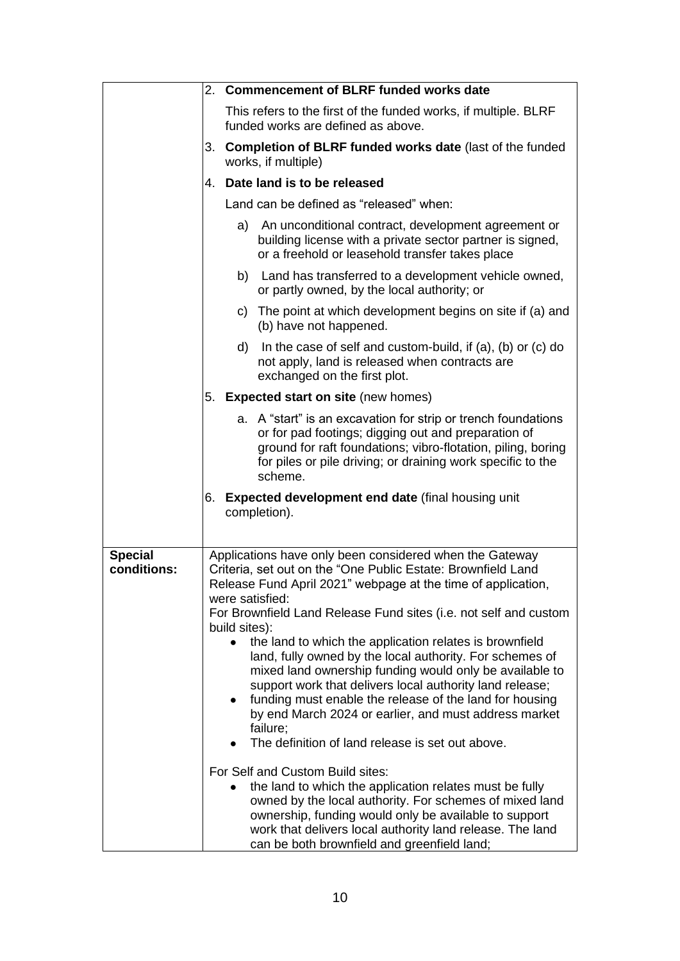|                               |    | 2. Commencement of BLRF funded works date                                                                                                                                                                                                                                                                                                                                                                                                                                                                                                                                                                                                                                                                                                                                                                                                                                                                                                                                                                                                                                     |  |
|-------------------------------|----|-------------------------------------------------------------------------------------------------------------------------------------------------------------------------------------------------------------------------------------------------------------------------------------------------------------------------------------------------------------------------------------------------------------------------------------------------------------------------------------------------------------------------------------------------------------------------------------------------------------------------------------------------------------------------------------------------------------------------------------------------------------------------------------------------------------------------------------------------------------------------------------------------------------------------------------------------------------------------------------------------------------------------------------------------------------------------------|--|
|                               |    | This refers to the first of the funded works, if multiple. BLRF<br>funded works are defined as above.                                                                                                                                                                                                                                                                                                                                                                                                                                                                                                                                                                                                                                                                                                                                                                                                                                                                                                                                                                         |  |
|                               |    | 3. Completion of BLRF funded works date (last of the funded<br>works, if multiple)                                                                                                                                                                                                                                                                                                                                                                                                                                                                                                                                                                                                                                                                                                                                                                                                                                                                                                                                                                                            |  |
|                               |    | 4. Date land is to be released                                                                                                                                                                                                                                                                                                                                                                                                                                                                                                                                                                                                                                                                                                                                                                                                                                                                                                                                                                                                                                                |  |
|                               |    | Land can be defined as "released" when:                                                                                                                                                                                                                                                                                                                                                                                                                                                                                                                                                                                                                                                                                                                                                                                                                                                                                                                                                                                                                                       |  |
|                               |    | An unconditional contract, development agreement or<br>a)<br>building license with a private sector partner is signed,<br>or a freehold or leasehold transfer takes place                                                                                                                                                                                                                                                                                                                                                                                                                                                                                                                                                                                                                                                                                                                                                                                                                                                                                                     |  |
|                               |    | b) Land has transferred to a development vehicle owned,<br>or partly owned, by the local authority; or                                                                                                                                                                                                                                                                                                                                                                                                                                                                                                                                                                                                                                                                                                                                                                                                                                                                                                                                                                        |  |
|                               |    | c) The point at which development begins on site if (a) and<br>(b) have not happened.                                                                                                                                                                                                                                                                                                                                                                                                                                                                                                                                                                                                                                                                                                                                                                                                                                                                                                                                                                                         |  |
|                               |    | In the case of self and custom-build, if $(a)$ , $(b)$ or $(c)$ do<br>d)<br>not apply, land is released when contracts are<br>exchanged on the first plot.                                                                                                                                                                                                                                                                                                                                                                                                                                                                                                                                                                                                                                                                                                                                                                                                                                                                                                                    |  |
|                               | 5. | <b>Expected start on site (new homes)</b>                                                                                                                                                                                                                                                                                                                                                                                                                                                                                                                                                                                                                                                                                                                                                                                                                                                                                                                                                                                                                                     |  |
|                               |    | a. A "start" is an excavation for strip or trench foundations<br>or for pad footings; digging out and preparation of<br>ground for raft foundations; vibro-flotation, piling, boring<br>for piles or pile driving; or draining work specific to the<br>scheme.                                                                                                                                                                                                                                                                                                                                                                                                                                                                                                                                                                                                                                                                                                                                                                                                                |  |
|                               | 6. | <b>Expected development end date (final housing unit</b><br>completion).                                                                                                                                                                                                                                                                                                                                                                                                                                                                                                                                                                                                                                                                                                                                                                                                                                                                                                                                                                                                      |  |
| <b>Special</b><br>conditions: |    | Applications have only been considered when the Gateway<br>Criteria, set out on the "One Public Estate: Brownfield Land<br>Release Fund April 2021" webpage at the time of application,<br>were satisfied:<br>For Brownfield Land Release Fund sites (i.e. not self and custom<br>build sites):<br>the land to which the application relates is brownfield<br>land, fully owned by the local authority. For schemes of<br>mixed land ownership funding would only be available to<br>support work that delivers local authority land release;<br>funding must enable the release of the land for housing<br>$\bullet$<br>by end March 2024 or earlier, and must address market<br>failure;<br>The definition of land release is set out above.<br>For Self and Custom Build sites:<br>the land to which the application relates must be fully<br>owned by the local authority. For schemes of mixed land<br>ownership, funding would only be available to support<br>work that delivers local authority land release. The land<br>can be both brownfield and greenfield land; |  |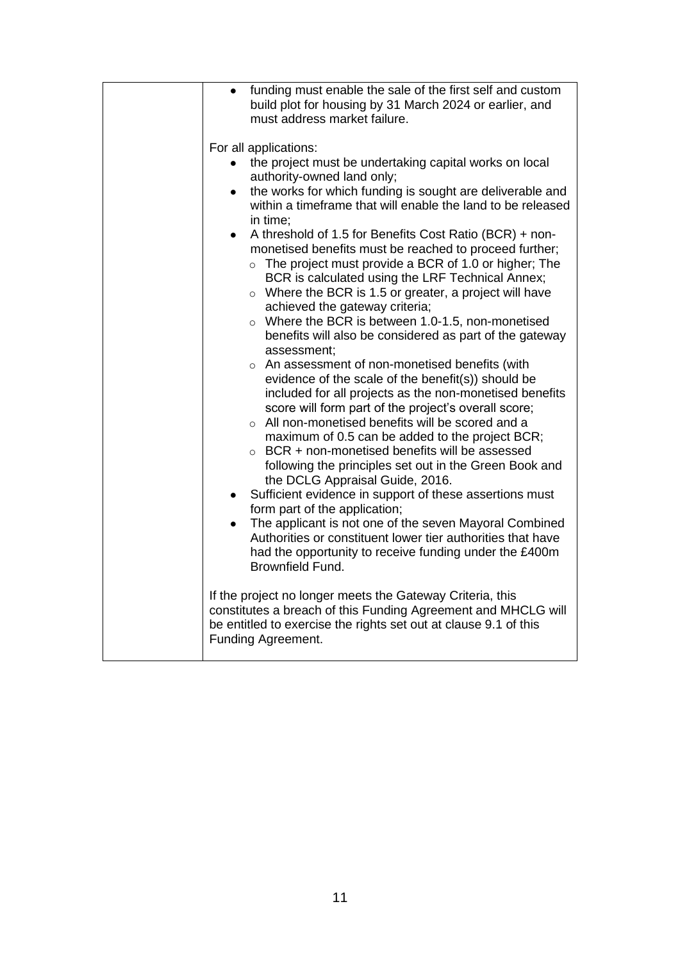| funding must enable the sale of the first self and custom<br>$\bullet$<br>build plot for housing by 31 March 2024 or earlier, and<br>must address market failure.                                                                                                                                                                                                                                                                                                                                                                                                                                                                                                                                                                                                                                                                                                                                                                                                                                                                                                                                                                                                                                                                                                                                                                                                                                                                                                                                                                                               |
|-----------------------------------------------------------------------------------------------------------------------------------------------------------------------------------------------------------------------------------------------------------------------------------------------------------------------------------------------------------------------------------------------------------------------------------------------------------------------------------------------------------------------------------------------------------------------------------------------------------------------------------------------------------------------------------------------------------------------------------------------------------------------------------------------------------------------------------------------------------------------------------------------------------------------------------------------------------------------------------------------------------------------------------------------------------------------------------------------------------------------------------------------------------------------------------------------------------------------------------------------------------------------------------------------------------------------------------------------------------------------------------------------------------------------------------------------------------------------------------------------------------------------------------------------------------------|
| For all applications:<br>the project must be undertaking capital works on local<br>authority-owned land only;<br>the works for which funding is sought are deliverable and<br>$\bullet$<br>within a timeframe that will enable the land to be released<br>in time;<br>A threshold of 1.5 for Benefits Cost Ratio (BCR) + non-<br>$\bullet$<br>monetised benefits must be reached to proceed further;<br>$\circ$ The project must provide a BCR of 1.0 or higher; The<br>BCR is calculated using the LRF Technical Annex;<br>$\circ$ Where the BCR is 1.5 or greater, a project will have<br>achieved the gateway criteria;<br>Where the BCR is between 1.0-1.5, non-monetised<br>$\circ$<br>benefits will also be considered as part of the gateway<br>assessment;<br>o An assessment of non-monetised benefits (with<br>evidence of the scale of the benefit(s)) should be<br>included for all projects as the non-monetised benefits<br>score will form part of the project's overall score;<br>○ All non-monetised benefits will be scored and a<br>maximum of 0.5 can be added to the project BCR;<br>$\circ$ BCR + non-monetised benefits will be assessed<br>following the principles set out in the Green Book and<br>the DCLG Appraisal Guide, 2016.<br>Sufficient evidence in support of these assertions must<br>form part of the application;<br>The applicant is not one of the seven Mayoral Combined<br>Authorities or constituent lower tier authorities that have<br>had the opportunity to receive funding under the £400m<br>Brownfield Fund. |
| If the project no longer meets the Gateway Criteria, this<br>constitutes a breach of this Funding Agreement and MHCLG will<br>be entitled to exercise the rights set out at clause 9.1 of this<br>Funding Agreement.                                                                                                                                                                                                                                                                                                                                                                                                                                                                                                                                                                                                                                                                                                                                                                                                                                                                                                                                                                                                                                                                                                                                                                                                                                                                                                                                            |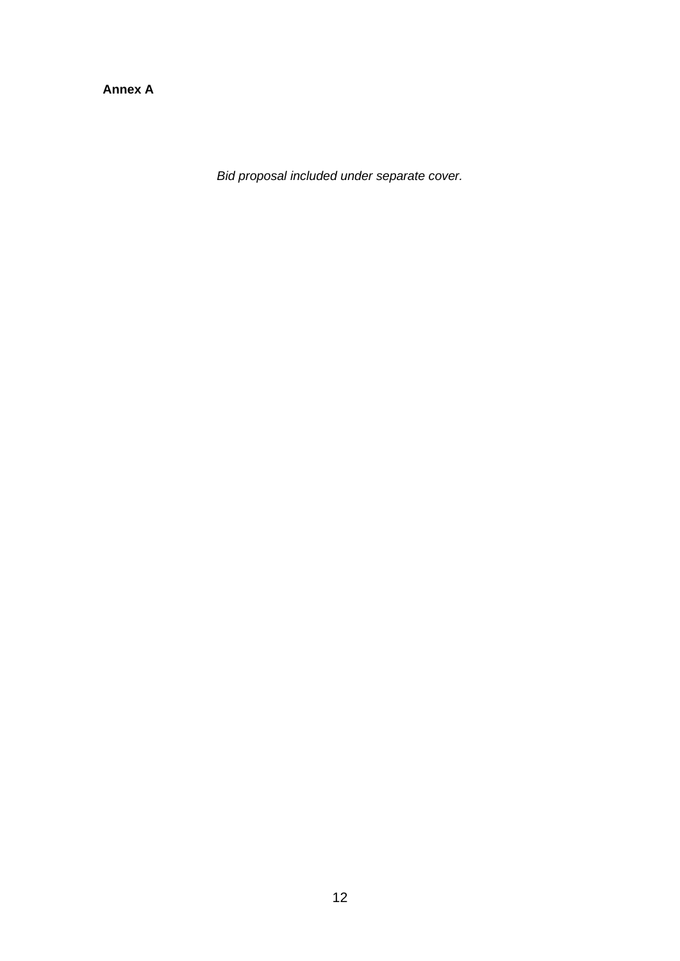**Annex A**

*Bid proposal included under separate cover.*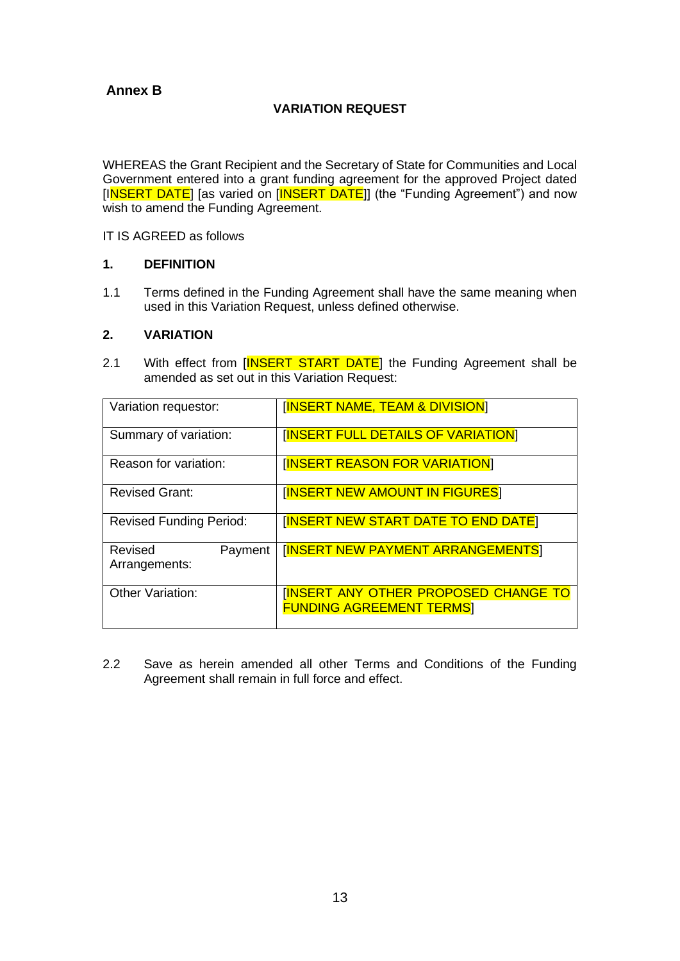# **Annex B**

# **VARIATION REQUEST**

WHEREAS the Grant Recipient and the Secretary of State for Communities and Local Government entered into a grant funding agreement for the approved Project dated [INSERT DATE] [as varied on [INSERT DATE]] (the "Funding Agreement") and now wish to amend the Funding Agreement.

IT IS AGREED as follows

#### **1. DEFINITION**

1.1 Terms defined in the Funding Agreement shall have the same meaning when used in this Variation Request, unless defined otherwise.

#### **2. VARIATION**

2.1 With effect from [INSERT START DATE] the Funding Agreement shall be amended as set out in this Variation Request:

| Variation requestor:                | <b>[INSERT NAME, TEAM &amp; DIVISION]</b>                                     |
|-------------------------------------|-------------------------------------------------------------------------------|
| Summary of variation:               | <b>INSERT FULL DETAILS OF VARIATION</b>                                       |
| Reason for variation:               | <b>INSERT REASON FOR VARIATION</b>                                            |
| <b>Revised Grant:</b>               | <b>INSERT NEW AMOUNT IN FIGURES</b>                                           |
| <b>Revised Funding Period:</b>      | <b>INSERT NEW START DATE TO END DATE</b>                                      |
| Revised<br>Payment<br>Arrangements: | <b>INSERT NEW PAYMENT ARRANGEMENTS</b>                                        |
| <b>Other Variation:</b>             | <b>INSERT ANY OTHER PROPOSED CHANGE TO</b><br><b>FUNDING AGREEMENT TERMSI</b> |

2.2 Save as herein amended all other Terms and Conditions of the Funding Agreement shall remain in full force and effect.